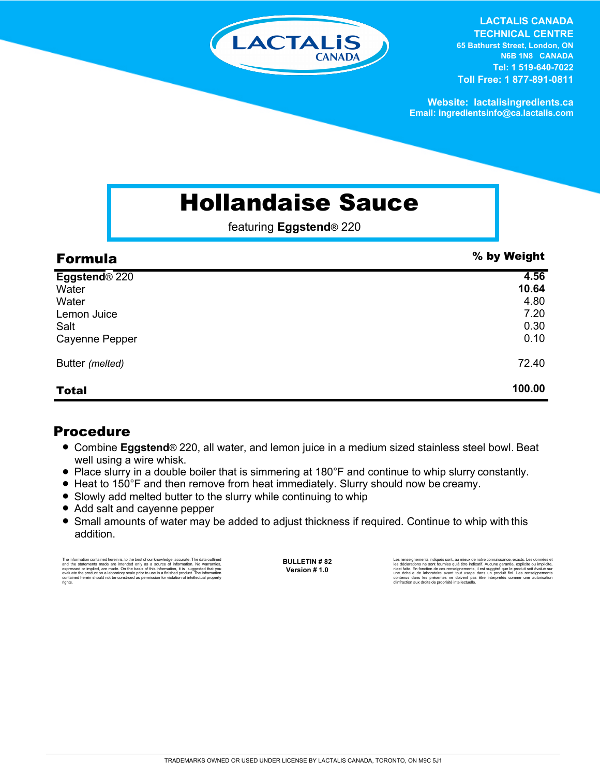

**LACTALIS CANADA TECHNICAL CENTRE 65 Bathurst Street, London, ON N6B 1N8 CANADA Tel: 1 519-640-7022 Toll Free: 1 877-891-0811**

**Website: lactalisingredients.ca Email: ingredientsinfo@ca.lactalis.com**

## Hollandaise Sauce

featuring **Eggstend**® 220

| <b>Formula</b>            | % by Weight |
|---------------------------|-------------|
| Eggstend <sup>®</sup> 220 | 4.56        |
| Water                     | 10.64       |
| Water                     | 4.80        |
| Lemon Juice               | 7.20        |
| Salt                      | 0.30        |
| Cayenne Pepper            | 0.10        |
| Butter (melted)           | 72.40       |
| <b>Total</b>              | 100.00      |

## Procedure

- Combine **Eggstend**<sup>®</sup> 220, all water, and lemon juice in a medium sized stainless steel bowl. Beat well using a wire whisk.
- Place slurry in a double boiler that is simmering at 180°F and continue to whip slurry constantly.
- Heat to 150°F and then remove from heat immediately. Slurry should now be creamy.
- Slowly add melted butter to the slurry while continuing to whip
- Add salt and cayenne pepper
- Small amounts of water may be added to adjust thickness if required. Continue to whip with this addition.

The information contained herein is, to the best of our knowledge, accurate. The data cutlined the statements made are intended only as a source of information. No warranties, expressed or implied, are made. On the basis o

**BULLETIN # 82 Version # 1.0**

Les rensejonements indiqués sont, au mieux de notre connaissance, exacts. Les données et<br>les déclarations ne sont fournies qu'à titre indicatif. Aucune garantie, explicite ou implicite,<br>riest faite. En fonction de ces rens